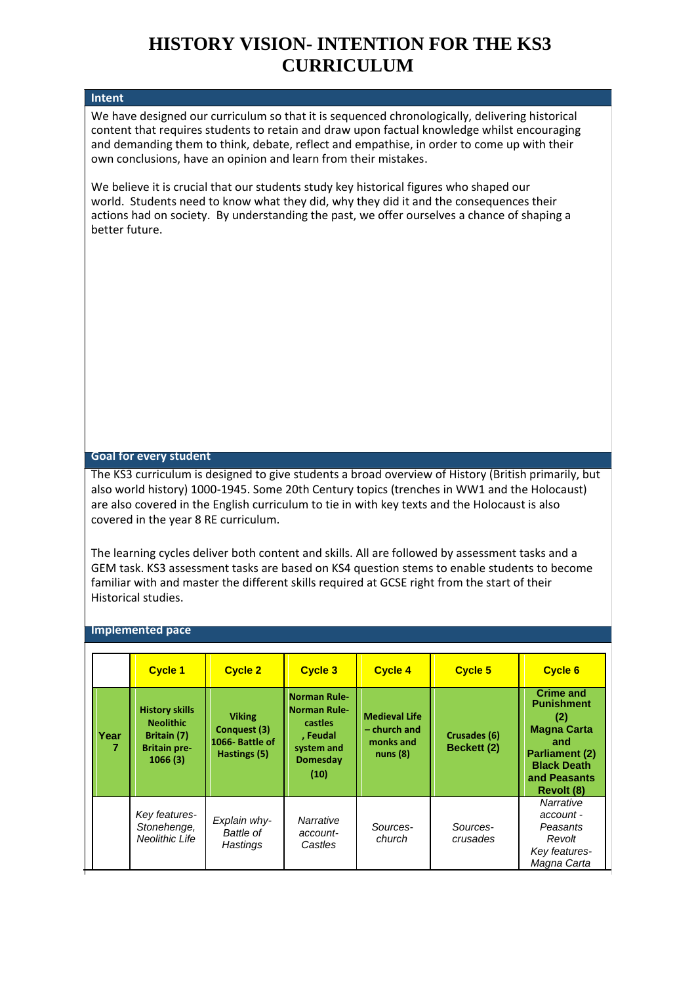## **HISTORY VISION- INTENTION FOR THE KS3 CURRICULUM**

## **Intent**

We have designed our curriculum so that it is sequenced chronologically, delivering historical content that requires students to retain and draw upon factual knowledge whilst encouraging and demanding them to think, debate, reflect and empathise, in order to come up with their own conclusions, have an opinion and learn from their mistakes.

We believe it is crucial that our students study key historical figures who shaped our world. Students need to know what they did, why they did it and the consequences their actions had on society. By understanding the past, we offer ourselves a chance of shaping a better future.

## **Goal for every student**

The KS3 curriculum is designed to give students a broad overview of History (British primarily, but also world history) 1000-1945. Some 20th Century topics (trenches in WW1 and the Holocaust) are also covered in the English curriculum to tie in with key texts and the Holocaust is also covered in the year 8 RE curriculum.

The learning cycles deliver both content and skills. All are followed by assessment tasks and a GEM task. KS3 assessment tasks are based on KS4 question stems to enable students to become familiar with and master the different skills required at GCSE right from the start of their Historical studies.

## **Implemented pace**

|           | <b>Cycle 1</b>                                                                             | <b>Cycle 2</b>                                                  | <b>Cycle 3</b>                                                                                             | <b>Cycle 4</b>                                               | <b>Cycle 5</b>              | <b>Cycle 6</b>                                                                                                                                         |
|-----------|--------------------------------------------------------------------------------------------|-----------------------------------------------------------------|------------------------------------------------------------------------------------------------------------|--------------------------------------------------------------|-----------------------------|--------------------------------------------------------------------------------------------------------------------------------------------------------|
| Year<br>7 | <b>History skills</b><br><b>Neolithic</b><br>Britain (7)<br><b>Britain pre-</b><br>1066(3) | <b>Viking</b><br>Conquest (3)<br>1066-Battle of<br>Hastings (5) | <b>Norman Rule-</b><br><b>Norman Rule-</b><br>castles<br>, Feudal<br>system and<br><b>Domesday</b><br>(10) | <b>Medieval Life</b><br>- church and<br>monks and<br>nuns(8) | Crusades (6)<br>Beckett (2) | <b>Crime and</b><br><b>Punishment</b><br>(2)<br><b>Magna Carta</b><br>and<br><b>Parliament (2)</b><br><b>Black Death</b><br>and Peasants<br>Revolt (8) |
|           | Key features-<br>Stonehenge,<br>Neolithic Life                                             | Explain why-<br>Battle of<br>Hastings                           | Narrative<br>account-<br>Castles                                                                           | Sources-<br>church                                           | Sources-<br>crusades        | Narrative<br>account -<br>Peasants<br>Revolt<br>Key features-<br>Magna Carta                                                                           |